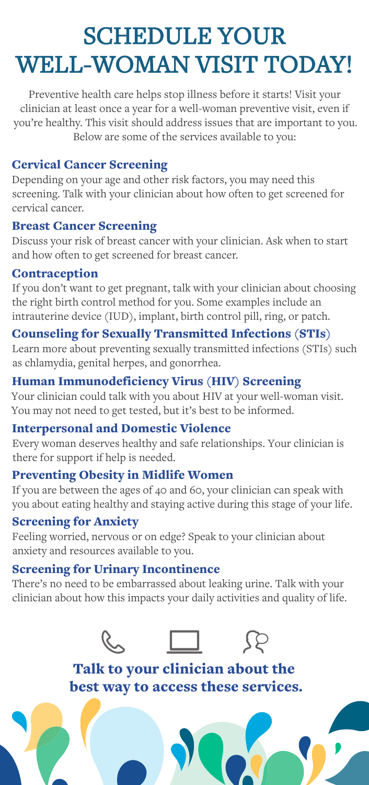# SCHEDULE YOUR WELL-WOMAN VISIT TODAY!

Preventive health care helps stop illness before it starts! Visit your clinician at least once a year for a well-woman preventive visit, even if you're healthy. This visit should address issues that are important to you. Below are some of the services available to you:

#### Cervical Cancer Screening

Depending on your age and other risk factors, you may need this screening. Talk with your clinician about how often to get screened for cervical cancer.

#### Breast Cancer Screening

Discuss your risk of breast cancer with your clinician. Ask when to start and how often to get screened for breast cancer.

#### **Contraception**

If you don't want to get pregnant, talk with your clinician about choosing the right birth control method for you. Some examples include an intrauterine device (IUD), implant, birth control pill, ring, or patch.

#### Counseling for Sexually Transmitted Infections (STIs)

Learn more about preventing sexually transmitted infections (STIs) such as chlamydia, genital herpes, and gonorrhea.

## Human Immunodeficiency Virus (HIV) Screening

Your clinician could talk with you about HIV at your well-woman visit. You may not need to get tested, but it's best to be informed.

#### Interpersonal and Domestic Violence

Every woman deserves healthy and safe relationships. Your clinician is there for support if help is needed.

#### Preventing Obesity in Midlife Women

If you are between the ages of 40 and 60, your clinician can speak with you about eating healthy and staying active during this stage of your life.

#### Screening for Anxiety

Feeling worried, nervous or on edge? Speak to your clinician about anxiety and resources available to you.

#### Screening for Urinary Incontinence

There's no need to be embarrassed about leaking urine. Talk with your clinician about how this impacts your daily activities and quality of life.



Talk to your clinician about the best way to access these services.